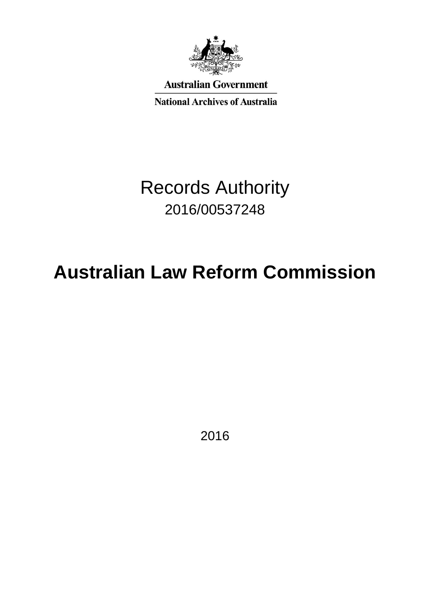

**Australian Government** 

**National Archives of Australia** 

# Records Authority 2016/00537248

# **Australian Law Reform Commission**

2016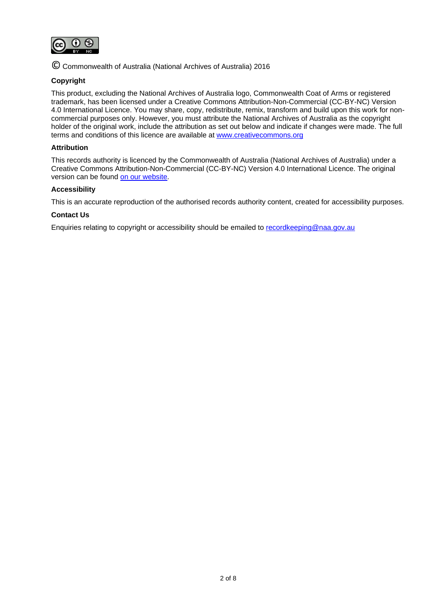

© Commonwealth of Australia (National Archives of Australia) 2016

### **Copyright**

This product, excluding the National Archives of Australia logo, Commonwealth Coat of Arms or registered trademark, has been licensed under a Creative Commons Attribution-Non-Commercial (CC-BY-NC) Version 4.0 International Licence. You may share, copy, redistribute, remix, transform and build upon this work for noncommercial purposes only. However, you must attribute the National Archives of Australia as the copyright holder of the original work, include the attribution as set out below and indicate if changes were made. The full terms and conditions of this licence are available at [www.creativecommons.org](http://www.creativecommons.org/)

#### **Attribution**

This records authority is licenced by the Commonwealth of Australia (National Archives of Australia) under a Creative Commons Attribution-Non-Commercial (CC-BY-NC) Version 4.0 International Licence. The original version can be found [on our website.](http://www.naa.gov.au/)

#### **Accessibility**

This is an accurate reproduction of the authorised records authority content, created for accessibility purposes.

#### **Contact Us**

Enquiries relating to copyright or accessibility should be emailed to [recordkeeping@naa.gov.au](mailto:recordkeeping@naa.gov.au)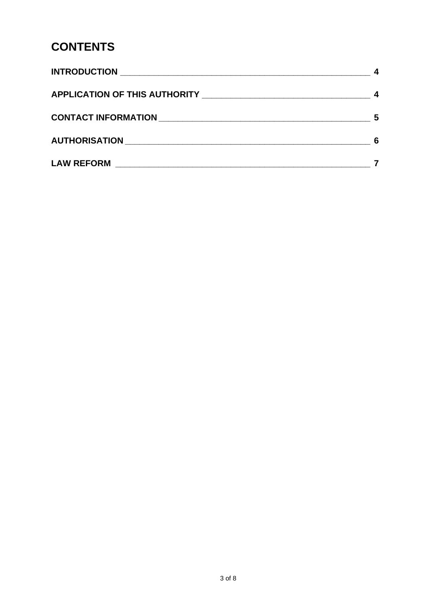# **CONTENTS**

| 5 |
|---|
| 6 |
|   |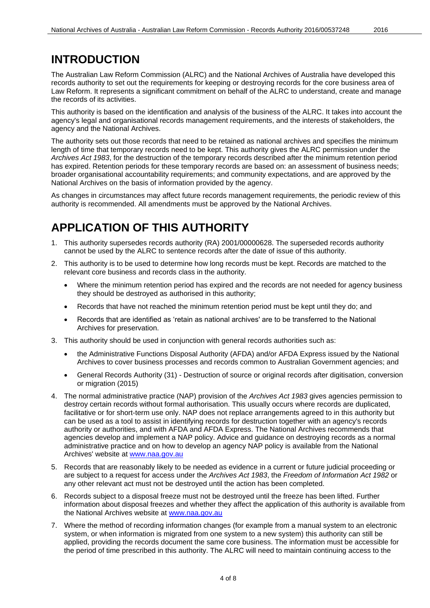### <span id="page-3-0"></span>**INTRODUCTION**

The Australian Law Reform Commission (ALRC) and the National Archives of Australia have developed this records authority to set out the requirements for keeping or destroying records for the core business area of Law Reform. It represents a significant commitment on behalf of the ALRC to understand, create and manage the records of its activities.

This authority is based on the identification and analysis of the business of the ALRC. It takes into account the agency's legal and organisational records management requirements, and the interests of stakeholders, the agency and the National Archives.

The authority sets out those records that need to be retained as national archives and specifies the minimum length of time that temporary records need to be kept. This authority gives the ALRC permission under the *Archives Act 1983*, for the destruction of the temporary records described after the minimum retention period has expired. Retention periods for these temporary records are based on: an assessment of business needs; broader organisational accountability requirements; and community expectations, and are approved by the National Archives on the basis of information provided by the agency.

As changes in circumstances may affect future records management requirements, the periodic review of this authority is recommended. All amendments must be approved by the National Archives.

# <span id="page-3-1"></span>**APPLICATION OF THIS AUTHORITY**

- 1. This authority supersedes records authority (RA) 2001/00000628. The superseded records authority cannot be used by the ALRC to sentence records after the date of issue of this authority.
- 2. This authority is to be used to determine how long records must be kept. Records are matched to the relevant core business and records class in the authority.
	- Where the minimum retention period has expired and the records are not needed for agency business they should be destroyed as authorised in this authority;
	- Records that have not reached the minimum retention period must be kept until they do; and
	- Records that are identified as 'retain as national archives' are to be transferred to the National Archives for preservation.
- 3. This authority should be used in conjunction with general records authorities such as:
	- the Administrative Functions Disposal Authority (AFDA) and/or AFDA Express issued by the National Archives to cover business processes and records common to Australian Government agencies; and
	- General Records Authority (31) Destruction of source or original records after digitisation, conversion or migration (2015)
- 4. The normal administrative practice (NAP) provision of the *Archives Act 1983* gives agencies permission to destroy certain records without formal authorisation. This usually occurs where records are duplicated, facilitative or for short-term use only. NAP does not replace arrangements agreed to in this authority but can be used as a tool to assist in identifying records for destruction together with an agency's records authority or authorities, and with AFDA and AFDA Express. The National Archives recommends that agencies develop and implement a NAP policy. Advice and guidance on destroying records as a normal administrative practice and on how to develop an agency NAP policy is available from the National Archives' website at [www.naa.gov.au](http://www.naa.gov.au/)
- 5. Records that are reasonably likely to be needed as evidence in a current or future judicial proceeding or are subject to a request for access under the *Archives Act 1983*, the *Freedom of Information Act 1982* or any other relevant act must not be destroyed until the action has been completed.
- 6. Records subject to a disposal freeze must not be destroyed until the freeze has been lifted. Further information about disposal freezes and whether they affect the application of this authority is available from the National Archives website at [www.naa.gov.au](http://www.naa.gov.au/)
- 7. Where the method of recording information changes (for example from a manual system to an electronic system, or when information is migrated from one system to a new system) this authority can still be applied, providing the records document the same core business. The information must be accessible for the period of time prescribed in this authority. The ALRC will need to maintain continuing access to the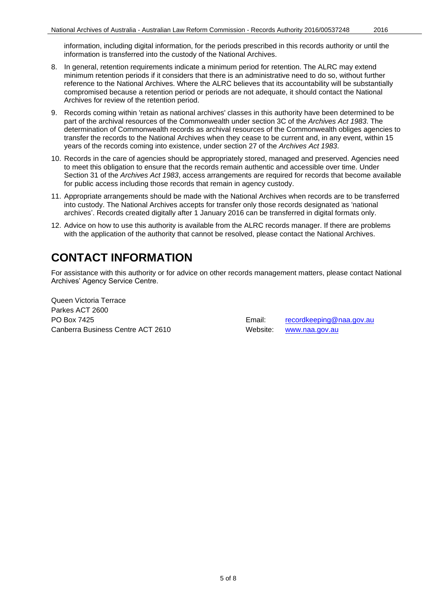information, including digital information, for the periods prescribed in this records authority or until the information is transferred into the custody of the National Archives.

- 8. In general, retention requirements indicate a minimum period for retention. The ALRC may extend minimum retention periods if it considers that there is an administrative need to do so, without further reference to the National Archives. Where the ALRC believes that its accountability will be substantially compromised because a retention period or periods are not adequate, it should contact the National Archives for review of the retention period.
- 9. Records coming within 'retain as national archives' classes in this authority have been determined to be part of the archival resources of the Commonwealth under section 3C of the *Archives Act 1983*. The determination of Commonwealth records as archival resources of the Commonwealth obliges agencies to transfer the records to the National Archives when they cease to be current and, in any event, within 15 years of the records coming into existence, under section 27 of the *Archives Act 1983*.
- 10. Records in the care of agencies should be appropriately stored, managed and preserved. Agencies need to meet this obligation to ensure that the records remain authentic and accessible over time. Under Section 31 of the *Archives Act 1983*, access arrangements are required for records that become available for public access including those records that remain in agency custody.
- 11. Appropriate arrangements should be made with the National Archives when records are to be transferred into custody. The National Archives accepts for transfer only those records designated as 'national archives'. Records created digitally after 1 January 2016 can be transferred in digital formats only.
- 12. Advice on how to use this authority is available from the ALRC records manager. If there are problems with the application of the authority that cannot be resolved, please contact the National Archives.

### <span id="page-4-0"></span>**CONTACT INFORMATION**

For assistance with this authority or for advice on other records management matters, please contact National Archives' Agency Service Centre.

Queen Victoria Terrace Parkes ACT 2600 PO Box 7425 **Email:** [recordkeeping@naa.gov.au](mailto:recordkeeping@naa.gov.au) **Email: Email:** recordkeeping@naa.gov.au Canberra Business Centre ACT 2610 Website: [www.naa.gov.au](http://www.naa.gov.au/)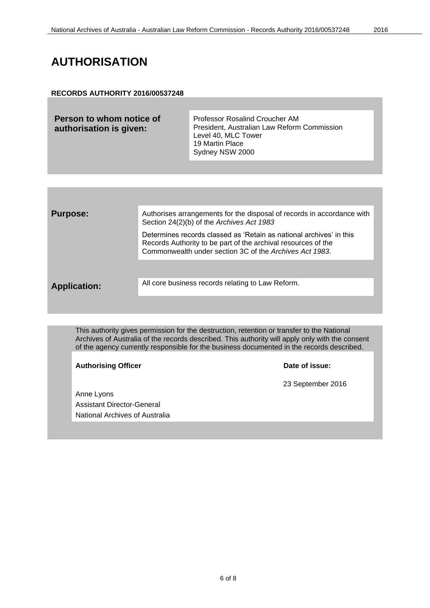### <span id="page-5-0"></span>**RECORDS AUTHORITY 2016/00537248**

| Person to whom notice of<br>authorisation is given: | <b>Professor Rosalind Croucher AM</b><br>President, Australian Law Reform Commission<br>Level 40, MLC Tower<br>19 Martin Place |
|-----------------------------------------------------|--------------------------------------------------------------------------------------------------------------------------------|
|                                                     | Sydney NSW 2000                                                                                                                |

| <b>Purpose:</b>     | Authorises arrangements for the disposal of records in accordance with<br>Section 24(2)(b) of the Archives Act 1983                                                                             |  |
|---------------------|-------------------------------------------------------------------------------------------------------------------------------------------------------------------------------------------------|--|
|                     | Determines records classed as 'Retain as national archives' in this<br>Records Authority to be part of the archival resources of the<br>Commonwealth under section 3C of the Archives Act 1983. |  |
|                     |                                                                                                                                                                                                 |  |
| <b>Application:</b> | All core business records relating to Law Reform.                                                                                                                                               |  |
|                     |                                                                                                                                                                                                 |  |
|                     |                                                                                                                                                                                                 |  |
|                     |                                                                                                                                                                                                 |  |

This authority gives permission for the destruction, retention or transfer to the National Archives of Australia of the records described. This authority will apply only with the consent of the agency currently responsible for the business documented in the records described.

Authorising Officer **Contract Contract Contract Contract Contract Contract Contract Contract Contract Contract Contract Contract Contract Contract Contract Contract Contract Contract Contract Contract Contract Contract Con** 

Anne Lyons Assistant Director-General National Archives of Australia

23 September 2016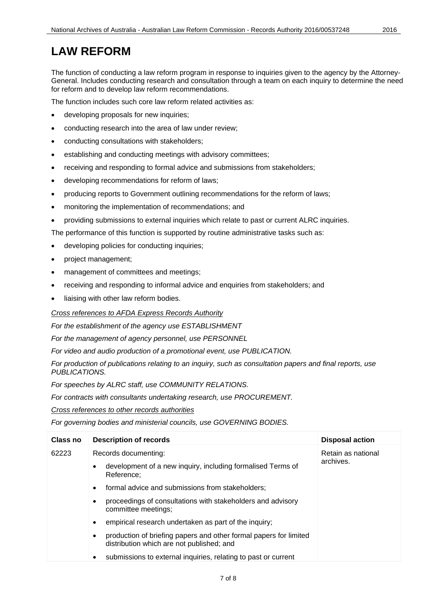# <span id="page-6-0"></span>**LAW REFORM**

The function of conducting a law reform program in response to inquiries given to the agency by the Attorney-General. Includes conducting research and consultation through a team on each inquiry to determine the need for reform and to develop law reform recommendations.

The function includes such core law reform related activities as:

- developing proposals for new inquiries;
- conducting research into the area of law under review;
- conducting consultations with stakeholders;
- establishing and conducting meetings with advisory committees;
- receiving and responding to formal advice and submissions from stakeholders;
- developing recommendations for reform of laws;
- producing reports to Government outlining recommendations for the reform of laws;
- monitoring the implementation of recommendations; and
- providing submissions to external inquiries which relate to past or current ALRC inquiries.

The performance of this function is supported by routine administrative tasks such as:

- developing policies for conducting inquiries;
- project management;
- management of committees and meetings;
- receiving and responding to informal advice and enquiries from stakeholders; and
- liaising with other law reform bodies.

*Cross references to AFDA Express Records Authority*

*For the establishment of the agency use ESTABLISHMENT*

*For the management of agency personnel, use PERSONNEL*

*For video and audio production of a promotional event, use PUBLICATION.*

*For production of publications relating to an inquiry, such as consultation papers and final reports, use PUBLICATIONS.*

*For speeches by ALRC staff, use COMMUNITY RELATIONS.*

*For contracts with consultants undertaking research, use PROCUREMENT.*

*Cross references to other records authorities* 

*For governing bodies and ministerial councils, use GOVERNING BODIES.*

| <b>Class no</b> | <b>Description of records</b>                                                                                               | <b>Disposal action</b> |
|-----------------|-----------------------------------------------------------------------------------------------------------------------------|------------------------|
| 62223           | Records documenting:                                                                                                        | Retain as national     |
|                 | development of a new inquiry, including formalised Terms of<br>Reference:                                                   | archives.              |
|                 | formal advice and submissions from stakeholders;<br>$\bullet$                                                               |                        |
|                 | proceedings of consultations with stakeholders and advisory<br>$\bullet$<br>committee meetings;                             |                        |
|                 | empirical research undertaken as part of the inquiry;<br>٠                                                                  |                        |
|                 | production of briefing papers and other formal papers for limited<br>$\bullet$<br>distribution which are not published; and |                        |
|                 | submissions to external inquiries, relating to past or current<br>٠                                                         |                        |